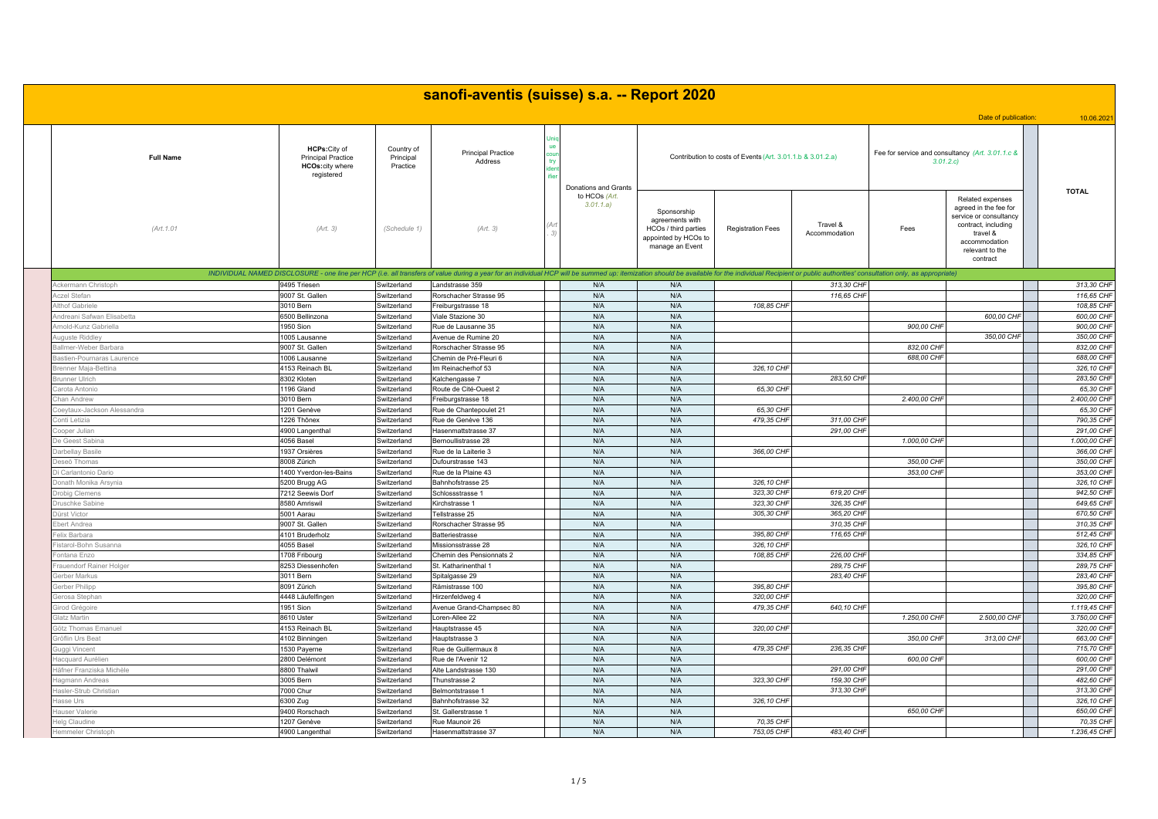| sanofi-aventis (suisse) s.a. -- Report 2020 |                                                                                    |                                     |                                                                                                                                                                                                                                |                             |                                                                                                   |                                                            |                           |                                                              |                                                                                                                                                        |                           |  |  |
|---------------------------------------------|------------------------------------------------------------------------------------|-------------------------------------|--------------------------------------------------------------------------------------------------------------------------------------------------------------------------------------------------------------------------------|-----------------------------|---------------------------------------------------------------------------------------------------|------------------------------------------------------------|---------------------------|--------------------------------------------------------------|--------------------------------------------------------------------------------------------------------------------------------------------------------|---------------------------|--|--|
|                                             |                                                                                    |                                     |                                                                                                                                                                                                                                |                             |                                                                                                   |                                                            |                           |                                                              | Date of publication:                                                                                                                                   | 10.06.202                 |  |  |
| <b>Full Name</b>                            | HCPs: City of<br><b>Principal Practice</b><br><b>HCOs:city where</b><br>registered | Country of<br>Principal<br>Practice | <b>Principal Practice</b><br>Address                                                                                                                                                                                           | <b>Donations and Grants</b> |                                                                                                   | Contribution to costs of Events (Art. 3.01.1.b & 3.01.2.a) |                           | Fee for service and consultancy (Art. 3.01.1.c &<br>3.01.2.c |                                                                                                                                                        |                           |  |  |
| (Art. 1.01                                  | (Art. 3)                                                                           | (Schedule 1)                        | (Art. 3)<br>(3)                                                                                                                                                                                                                | to HCOs (Art.<br>3.01.1.a)  | Sponsorship<br>agreements with<br>HCOs / third parties<br>appointed by HCOs to<br>manage an Event | <b>Registration Fees</b>                                   | Travel &<br>Accommodation | Fees                                                         | Related expenses<br>agreed in the fee for<br>service or consultancy<br>contract, including<br>travel &<br>accommodation<br>relevant to the<br>contract | <b>TOTAL</b>              |  |  |
|                                             |                                                                                    |                                     | INDIVIDUAL NAMED DISCLOSURE - one line per HCP (i.e. all transfers of value during a year for an individual HCP will be summed up: itemization should be available for the individual Recipient or public authorities' consult |                             |                                                                                                   |                                                            |                           |                                                              |                                                                                                                                                        |                           |  |  |
| Ackermann Christopl                         | 9495 Triesen                                                                       | Switzerland                         | andstrasse 359                                                                                                                                                                                                                 | N/A                         | N/A                                                                                               |                                                            | 313,30 CHF                |                                                              |                                                                                                                                                        | 313,30 CHF                |  |  |
| czel Stefan                                 | 9007 St. Gallen                                                                    | Switzerland                         | Rorschacher Strasse 95                                                                                                                                                                                                         | N/A                         | N/A                                                                                               |                                                            | 116,65 CHF                |                                                              |                                                                                                                                                        | 116,65 CHF                |  |  |
| thof Gabriele                               | 3010 Bern                                                                          | Switzerland                         | Freiburgstrasse 18                                                                                                                                                                                                             | N/A                         | N/A                                                                                               | 108,85 CHF                                                 |                           |                                                              |                                                                                                                                                        | 108,85 CHF                |  |  |
| dreani Safwan Elisabetta                    | 6500 Bellinzona                                                                    | Switzerland                         | /iale Stazione 30                                                                                                                                                                                                              | N/A                         | N/A                                                                                               |                                                            |                           |                                                              | 600,00 CHF                                                                                                                                             | 600,00 CHF                |  |  |
| rnold-Kunz Gabriella                        | 1950 Sion                                                                          | Switzerland                         | Rue de Lausanne 35                                                                                                                                                                                                             | N/A                         | N/A                                                                                               |                                                            |                           | 900,00 CHF                                                   |                                                                                                                                                        | 900,00 CHF                |  |  |
| uguste Riddley                              | 1005 Lausanne                                                                      | Switzerland                         | Avenue de Rumine 20                                                                                                                                                                                                            | N/A                         | N/A                                                                                               |                                                            |                           |                                                              | 350,00 CHF                                                                                                                                             | 350,00 CHF                |  |  |
| allmer-Weber Barbara                        | 9007 St. Gallen                                                                    | Switzerland                         | Rorschacher Strasse 95                                                                                                                                                                                                         | N/A                         | N/A                                                                                               |                                                            |                           | 832,00 CHI                                                   |                                                                                                                                                        | 832,00 CHF<br>688,00 CHF  |  |  |
| astien-Pournaras Laurence                   | 1006 Lausanne                                                                      | Switzerland                         | Chemin de Pré-Fleuri 6                                                                                                                                                                                                         | N/A                         | N/A                                                                                               |                                                            |                           | 688,00 CHI                                                   |                                                                                                                                                        |                           |  |  |
| renner Maja-Bettina                         | 4153 Reinach BL                                                                    | Switzerland                         | m Reinacherhof 53                                                                                                                                                                                                              | N/A<br>N/A                  | N/A<br>N/A                                                                                        | 326,10 CHF                                                 |                           |                                                              |                                                                                                                                                        | 326,10 CHF<br>283.50 CHP  |  |  |
| unner Ulrich                                | 8302 Kloten                                                                        | Switzerland                         | <alchengasse 7<="" td=""><td></td><td></td><td></td><td>283,50 CHF</td><td></td><td></td><td></td></alchengasse>                                                                                                               |                             |                                                                                                   |                                                            | 283,50 CHF                |                                                              |                                                                                                                                                        |                           |  |  |
| arota Antonio                               | 1196 Gland                                                                         | Switzerland                         | Route de Cité-Ouest 2                                                                                                                                                                                                          | N/A                         | N/A                                                                                               | 65,30 CHF                                                  |                           |                                                              |                                                                                                                                                        | 65,30 CHF                 |  |  |
| han Andrew                                  | 3010 Bern                                                                          | Switzerland<br>Switzerland          | reiburgstrasse 18                                                                                                                                                                                                              | N/A                         | N/A                                                                                               |                                                            |                           | 2.400,00 CHF                                                 |                                                                                                                                                        | 2.400,00 CHF<br>65,30 CHF |  |  |
| beytaux-Jackson Alessandra                  | 1201 Genève                                                                        |                                     | Rue de Chantepoulet 21                                                                                                                                                                                                         | N/A                         | N/A                                                                                               | 65,30 CHF<br>479,35 CHF                                    | 311,00 CHF                |                                                              |                                                                                                                                                        | 790,35 CHF                |  |  |
| onti Letizia                                | 1226 Thônex                                                                        | Switzerland                         | Rue de Genève 136                                                                                                                                                                                                              | N/A<br>N/A                  | N/A<br>N/A                                                                                        |                                                            | 291,00 CHF                |                                                              |                                                                                                                                                        | 291,00 CHF                |  |  |
| oper Julian<br>e Geest Sabina               | 4900 Langenthal<br>4056 Basel                                                      | witzerland<br>Switzerland           | lasenmattstrasse 37<br>Bernoullistrasse 28                                                                                                                                                                                     | N/A                         | N/A                                                                                               |                                                            |                           | 1.000,00 CHF                                                 |                                                                                                                                                        | 1.000,00 CHF              |  |  |
| arbellay Basile                             | 1937 Orsières                                                                      | Switzerland                         | Rue de la Laiterie 3                                                                                                                                                                                                           | N/A                         | N/A                                                                                               | 366,00 CHF                                                 |                           |                                                              |                                                                                                                                                        | 366,00 CHF                |  |  |
| eseö Thomas                                 | 8008 Zürich                                                                        | Switzerland                         | Dufourstrasse 143                                                                                                                                                                                                              | N/A                         | N/A                                                                                               |                                                            |                           | 350,00 CHI                                                   |                                                                                                                                                        | 350,00 CHF                |  |  |
| i Carlantonio Dario                         | 1400 Yverdon-les-Bains                                                             | Switzerland                         | Rue de la Plaine 43                                                                                                                                                                                                            | N/A                         | N/A                                                                                               |                                                            |                           | 353,00 CHF                                                   |                                                                                                                                                        | 353,00 CHF                |  |  |
| onath Monika Arsynia                        |                                                                                    | Switzerland                         | Bahnhofstrasse 25                                                                                                                                                                                                              | N/A                         | N/A                                                                                               | 326, 10 CHF                                                |                           |                                                              |                                                                                                                                                        | 326,10 CHF                |  |  |
|                                             | 5200 Brugg AG<br>7212 Seewis Dorf                                                  |                                     |                                                                                                                                                                                                                                | N/A                         | N/A                                                                                               | 323,30 CHF                                                 | 619,20 CHF                |                                                              |                                                                                                                                                        | 942,50 CHF                |  |  |
| robig Clemens                               | 8580 Amriswil                                                                      | Switzerland<br>Switzerland          | Schlossstrasse 1<br>Kirchstrasse 1                                                                                                                                                                                             | N/A                         | N/A                                                                                               | 323,30 CHF                                                 | 326,35 CHF                |                                                              |                                                                                                                                                        | 649,65 CHF                |  |  |
| ruschke Sabine<br>ürst Victor               | 5001 Aarau                                                                         | Switzerland                         | ellstrasse 25                                                                                                                                                                                                                  | N/A                         | N/A                                                                                               | 305.30 CHF                                                 | 365,20 CHF                |                                                              |                                                                                                                                                        | 670,50 CHF                |  |  |
| bert Andrea                                 | 9007 St. Gallen                                                                    | witzerland                          | Rorschacher Strasse 95                                                                                                                                                                                                         | N/A                         | N/A                                                                                               |                                                            | 310.35 CHF                |                                                              |                                                                                                                                                        | 310.35 CHF                |  |  |
| elix Barbara                                | 4101 Bruderholz                                                                    | Switzerland                         | <b>Batteriestrasse</b>                                                                                                                                                                                                         | N/A                         | N/A                                                                                               | 395,80 CHF                                                 | 116,65 CHI                |                                                              |                                                                                                                                                        | 512,45 CHF                |  |  |
| starol-Bohn Susanna                         | 4055 Basel                                                                         | Switzerland                         | Missionsstrasse 28                                                                                                                                                                                                             | N/A                         | N/A                                                                                               | 326, 10 CHF                                                |                           |                                                              |                                                                                                                                                        | 326,10 CHF                |  |  |
| ontana Enzo                                 | 1708 Fribourg                                                                      | Switzerland                         | Chemin des Pensionnats 2                                                                                                                                                                                                       | N/A                         | N/A                                                                                               | 108,85 CHF                                                 | 226.00 CHF                |                                                              |                                                                                                                                                        | 334.85 CHF                |  |  |
| rauendorf Rainer Holger                     | 8253 Diessenhofen                                                                  | Switzerland                         | St. Katharinenthal 1                                                                                                                                                                                                           | N/A                         | N/A                                                                                               |                                                            | 289,75 CHF                |                                                              |                                                                                                                                                        | 289,75 CHF                |  |  |
| erber Markus                                | 3011 Bern                                                                          | witzerland                          | Spitalgasse 29                                                                                                                                                                                                                 | N/A                         | N/A                                                                                               |                                                            | 283,40 CHF                |                                                              |                                                                                                                                                        | 283,40 CHF                |  |  |
| erber Philipp                               | 8091 Zürich                                                                        | Switzerland                         | Rämistrasse 100                                                                                                                                                                                                                | N/A                         | N/A                                                                                               | 395,80 CHF                                                 |                           |                                                              |                                                                                                                                                        | 395,80 CHF                |  |  |
| rosa Stephan                                | 4448 Läufelfingen                                                                  | Switzerland                         | Hirzenfeldweg 4                                                                                                                                                                                                                | N/A                         | N/A                                                                                               | 320,00 CHF                                                 |                           |                                                              |                                                                                                                                                        | 320,00 CHF                |  |  |
| rod Grégoire                                | 1951 Sion                                                                          | Switzerland                         | Avenue Grand-Champsec 80                                                                                                                                                                                                       | N/A                         | N/A                                                                                               | 479,35 CHF                                                 | 640,10 CHF                |                                                              |                                                                                                                                                        | 1.119,45 CHF              |  |  |
| latz Martin                                 | 8610 Uster                                                                         | Switzerland                         | Loren-Allee 22                                                                                                                                                                                                                 | N/A                         | N/A                                                                                               |                                                            |                           | 1.250,00 CHF                                                 | 2,500,00 CHF                                                                                                                                           | 3.750,00 CHF              |  |  |
| ötz Thomas Emanuel                          | 4153 Reinach BL                                                                    | witzerland                          | Hauptstrasse 45                                                                                                                                                                                                                | N/A                         | N/A                                                                                               | 320,00 CHF                                                 |                           |                                                              |                                                                                                                                                        | 320,00 CHF                |  |  |
| röflin Urs Beat                             | 4102 Binningen                                                                     | Switzerland                         | Hauptstrasse 3                                                                                                                                                                                                                 | N/A                         | N/A                                                                                               |                                                            |                           | 350,00 CHF                                                   | 313,00 CHF                                                                                                                                             | 663,00 CHF                |  |  |
| uggi Vincent                                | 1530 Payerne                                                                       | Switzerland                         | Rue de Guillermaux 8                                                                                                                                                                                                           | N/A                         | N/A                                                                                               | 479,35 CHF                                                 | 236,35 CHF                |                                                              |                                                                                                                                                        | 715,70 CHF                |  |  |
| acquard Aurélien                            | 2800 Delémont                                                                      | <b>Switzerland</b>                  | Rue de l'Avenir 12                                                                                                                                                                                                             | N/A                         | N/A                                                                                               |                                                            |                           | 600,00 CHF                                                   |                                                                                                                                                        | 600,00 CHF                |  |  |
| äfner Franziska Michèle                     | 8800 Thalwil                                                                       | Switzerland                         | Alte Landstrasse 130                                                                                                                                                                                                           | N/A                         | N/A                                                                                               |                                                            | 291,00 CHF                |                                                              |                                                                                                                                                        | 291,00 CHF                |  |  |
| agmann Andreas                              | 3005 Bern                                                                          | Switzerland                         | hunstrasse 2                                                                                                                                                                                                                   | N/A                         | N/A                                                                                               | 323,30 CHF                                                 | 159,30 CHF                |                                                              |                                                                                                                                                        | 482,60 CHF                |  |  |
| asler-Strub Christian                       | 7000 Chur                                                                          | Switzerland                         | Belmontstrasse 1                                                                                                                                                                                                               | N/A                         | N/A                                                                                               |                                                            | 313,30 CHF                |                                                              |                                                                                                                                                        | 313,30 CHF                |  |  |
| asse Urs                                    | 6300 Zug                                                                           | Switzerland                         | ahnhofstrasse 32                                                                                                                                                                                                               | N/A                         | N/A                                                                                               | 326,10 CHF                                                 |                           |                                                              |                                                                                                                                                        | 326,10 CHF                |  |  |
| auser Valerie                               | 9400 Rorschach                                                                     | Switzerland                         | St. Gallerstrasse 1                                                                                                                                                                                                            | N/A                         | N/A                                                                                               |                                                            |                           | 650,00 CHF                                                   |                                                                                                                                                        | 650,00 CHF                |  |  |
| lelg Claudine                               | 1207 Genève                                                                        | Switzerland                         | Rue Maunoir 26                                                                                                                                                                                                                 | N/A                         | N/A                                                                                               | 70,35 CHF                                                  |                           |                                                              |                                                                                                                                                        | 70,35 CHF                 |  |  |
| emmeler Christoph                           | 4900 Langenthal                                                                    | Switzerland                         | Hasenmattstrasse 37                                                                                                                                                                                                            | N/A                         | N/A                                                                                               | 753,05 CHF                                                 | 483,40 CHF                |                                                              |                                                                                                                                                        | 1.236,45 CHF              |  |  |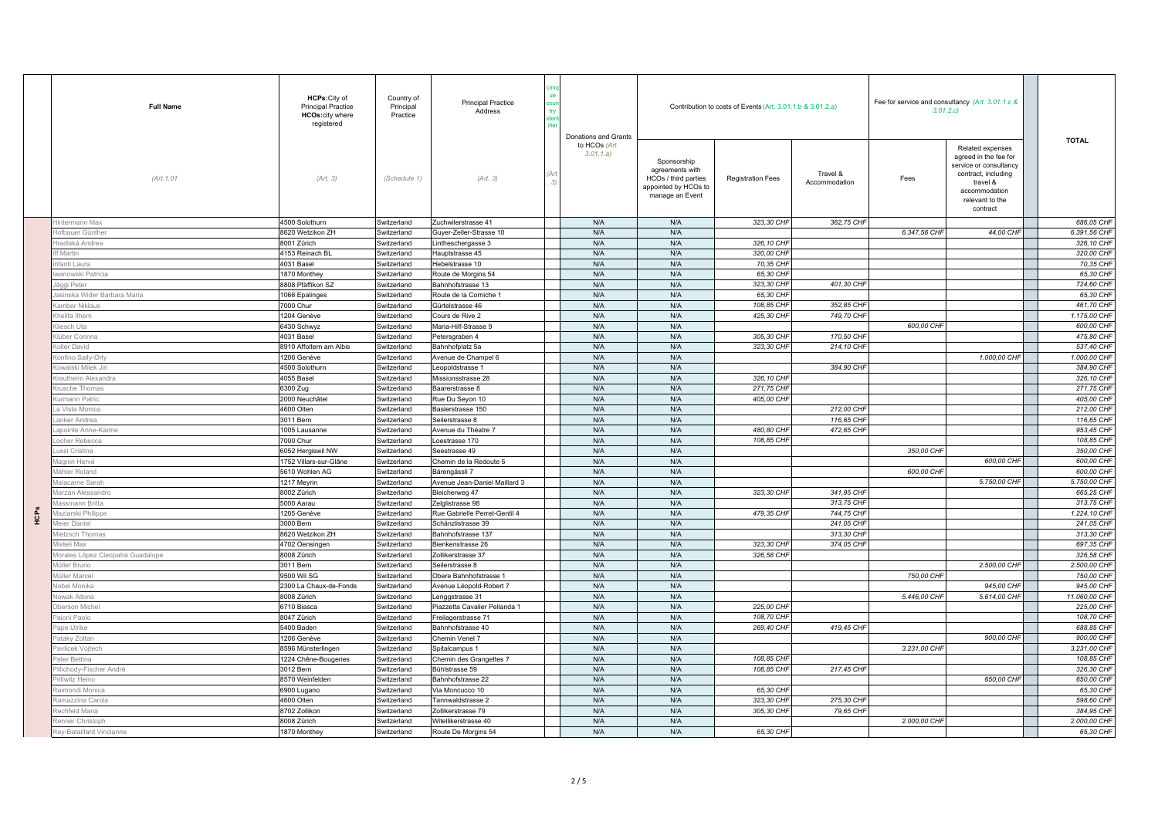|            | <b>Full Name</b>                  | <b>HCPs:</b> City of<br><b>Principal Practice</b><br><b>HCOs:city where</b><br>registered | Country of<br>Principal<br>Practice | <b>Principal Practice</b><br>Address | Donations and Grants       |                                                                                                   | Contribution to costs of Events (Art. 3.01.1.b & 3.01.2.a) |                           | 3.01.2.c     | Fee for service and consultancy (Art. 3.01.1.c &                                                                                                       |               |              |
|------------|-----------------------------------|-------------------------------------------------------------------------------------------|-------------------------------------|--------------------------------------|----------------------------|---------------------------------------------------------------------------------------------------|------------------------------------------------------------|---------------------------|--------------|--------------------------------------------------------------------------------------------------------------------------------------------------------|---------------|--------------|
|            | (Art. 1.01                        | (Art. 3)                                                                                  | (Schedule 1)                        | (Art. 3)                             | to HCOs (Art.<br>3.01.1.a) | Sponsorship<br>agreements with<br>HCOs / third parties<br>appointed by HCOs to<br>manage an Event | <b>Registration Fees</b>                                   | Travel &<br>Accommodation | Fees         | Related expenses<br>agreed in the fee for<br>service or consultancy<br>contract, including<br>travel &<br>accommodation<br>relevant to the<br>contract | <b>TOTAL</b>  |              |
|            | intermann Max                     | 4500 Solothurn                                                                            | Switzerland                         | Zuchwilerstrasse 41                  | N/A                        | N/A                                                                                               | 323,30 CHF                                                 | 362,75 CHF                |              |                                                                                                                                                        |               | 686,05 CHF   |
|            | fbauer Günthe                     | 8620 Wetzikon ZH                                                                          | Switzerland                         | Suyer-Zeller-Strasse 10              | N/A                        | N/A                                                                                               |                                                            |                           | 6.347,56 CHF | 44,00 CHF                                                                                                                                              | 6.391,56 CHF  |              |
|            | radiská Andrea                    | 8001 Zürich                                                                               | Switzerland                         | intheschergasse 3                    | N/A                        | N/A                                                                                               | 326,10 CHF                                                 |                           |              |                                                                                                                                                        |               | 326,10 CHF   |
|            | f Martin                          | 4153 Reinach BL                                                                           | Switzerland                         | Hauptstrasse 45                      | N/A                        | N/A                                                                                               | 320,00 CHF                                                 |                           |              |                                                                                                                                                        |               | 320,00 CHF   |
|            | ıfanti Laura                      | 4031 Basel                                                                                | Switzerland                         | lebelstrasse 10                      | N/A                        | N/A                                                                                               | 70,35 CHF                                                  |                           |              |                                                                                                                                                        |               | 70,35 CHF    |
|            | ranowski Patricia                 | 1870 Monthey                                                                              | Switzerland                         | Route de Morgins 54                  | N/A                        | N/A                                                                                               | 65,30 CHF                                                  |                           |              |                                                                                                                                                        |               | 65.30 CHF    |
|            | äggi Peter                        | 8808 Pfäffikon SZ                                                                         | witzerland                          | Bahnhofstrasse 13                    | N/A                        | N/A                                                                                               | 323,30 CHF                                                 | 401,30 CHF                |              |                                                                                                                                                        |               | 724,60 CHF   |
|            | inska Wider Barbara Maria         | 1066 Epalinges                                                                            | witzerland                          | Route de la Corniche 1               | N/A                        | N/A                                                                                               | 65,30 CHF                                                  |                           |              |                                                                                                                                                        |               | 65,30 CHF    |
|            | amber Niklaus                     | '000 Chur                                                                                 | Switzerland                         | Gürtelstrasse 46                     | N/A                        | N/A                                                                                               | 108,85 CHF                                                 | 352,85 CHF                |              |                                                                                                                                                        |               | 461,70 CHF   |
|            | helifa Ilhem                      | 1204 Genève                                                                               | Switzerland                         | Cours de Rive 2                      | N/A                        | N/A                                                                                               | 425,30 CHF                                                 | 749,70 CHF                |              |                                                                                                                                                        |               | 1.175,00 CHF |
|            | liesch Uta                        | 6430 Schwyz                                                                               | Switzerland                         | Maria-Hilf-Strasse 9                 | N/A                        | N/A                                                                                               |                                                            |                           | 600,00 CHI   |                                                                                                                                                        |               | 600,00 CHF   |
|            | lüber Corinna                     | 4031 Basel                                                                                | Switzerland                         | Petersgraben 4                       | N/A                        | N/A                                                                                               | 305,30 CHF                                                 | 170,50 CHF                |              |                                                                                                                                                        |               | 475,80 CHF   |
|            | oller David                       | 8910 Affoltern am Albis                                                                   | Switzerland                         | Bahnhofplatz 5a                      | N/A                        | N/A                                                                                               | 323,30 CHF                                                 | 214,10 CHF                |              |                                                                                                                                                        |               | 537,40 CHF   |
|            | onfino Sally-Orly                 | 1206 Genève                                                                               | witzerland                          | Avenue de Champel 6                  | N/A                        | N/A                                                                                               |                                                            |                           |              | 1.000,00 CHF                                                                                                                                           | 1.000,00 CHF  |              |
|            | owalski Milek Jiri                | 4500 Solothurn                                                                            | Switzerland                         | eopoldstrasse 1                      | N/A                        | N/A                                                                                               |                                                            | 384.90 CHF                |              |                                                                                                                                                        |               | 384,90 CHF   |
|            | rautheim Alexandra                | 4055 Basel                                                                                | Switzerland                         | Missionsstrasse 28                   | N/A                        | N/A                                                                                               | 326,10 CHF                                                 |                           |              |                                                                                                                                                        |               | 326,10 CHF   |
|            | rusche Thomas                     | 6300 Zug                                                                                  | Switzerland                         | Baarerstrasse 8                      | N/A                        | N/A                                                                                               | 271,75 CHF                                                 |                           |              |                                                                                                                                                        |               | 271,75 CHF   |
|            | urmann Patric                     | 2000 Neuchâtel                                                                            | Switzerland                         | Rue Du Seyon 10                      | N/A                        | N/A                                                                                               | 405,00 CHF                                                 |                           |              |                                                                                                                                                        |               | 405,00 CHF   |
|            | a Vista Monica                    | 4600 Olten                                                                                | Switzerland                         | Baslerstrasse 150                    | N/A                        | N/A                                                                                               |                                                            | 212,00 CHF                |              |                                                                                                                                                        |               | 212,00 CHF   |
|            | anker Andrea                      | 3011 Bern                                                                                 | witzerland                          | Seilerstrasse 8                      | N/A                        | N/A                                                                                               |                                                            | 116,65 CHF                |              |                                                                                                                                                        |               | 116,65 CHF   |
|            | apointe Anne-Karine               | 005 Lausanne                                                                              | witzerland                          | Avenue du Théatre 7                  | N/A                        | N/A                                                                                               | 480.80 CHF                                                 | 472,65 CHF                |              |                                                                                                                                                        |               | 953,45 CHF   |
|            | ocher Rebecca                     | 7000 Chur                                                                                 | Switzerland                         | oestrasse 170                        | N/A                        | N/A                                                                                               | 108,85 CHF                                                 |                           |              |                                                                                                                                                        |               | 108,85 CHF   |
|            | ıssi Cristina                     | 6052 Hergiswil NW                                                                         | witzerland                          | Seestrasse 49                        | N/A                        | N/A                                                                                               |                                                            |                           | 350,00 CHI   |                                                                                                                                                        |               | 350,00 CHF   |
|            | lagnin Hervé                      | 1752 Villars-sur-Glâne                                                                    | witzerland                          | Chemin de la Redoute 5               | N/A                        | N/A                                                                                               |                                                            |                           |              | 600,00 CHI                                                                                                                                             |               | 600,00 CHF   |
|            | lähler Roland                     | 5610 Wohlen AG                                                                            | Switzerland                         | Bärengässli 7                        | N/A                        | N/A                                                                                               |                                                            |                           | 600,00 CHI   |                                                                                                                                                        |               | 600,00 CHF   |
|            | lalacarne Sarah                   | 1217 Meyrin                                                                               | Switzerland                         | Avenue Jean-Daniel Maillard 3        | N/A                        | N/A                                                                                               |                                                            |                           |              | 5.750,00 CHF                                                                                                                                           | 5.750,00 CHF  |              |
|            | larzan Alessandro                 | 8002 Zürich                                                                               | witzerland                          | Bleicherweg 47                       | N/A                        | N/A                                                                                               | 323,30 CHF                                                 | 341.95 CHF                |              |                                                                                                                                                        |               | 665,25 CHF   |
|            | assmann Britta                    | 5000 Aarau                                                                                | Switzerland                         | Zelglistrasse 98                     | N/A                        | N/A                                                                                               |                                                            | 313,75 CHF                |              |                                                                                                                                                        |               | 313,75 CHF   |
| <b>ACP</b> | laziarski Philippe                | 1205 Genève                                                                               | Switzerland                         | Rue Gabrielle Perret-Gentil 4        | N/A                        | N/A                                                                                               | 479,35 CHF                                                 | 744,75 CHF                |              |                                                                                                                                                        |               | 1.224,10 CHF |
|            | leier Daniel                      | 3000 Bern                                                                                 | Switzerland                         | Schänzlistrasse 39                   | N/A                        | N/A                                                                                               |                                                            | 241,05 CHF                |              |                                                                                                                                                        |               | 241,05 CHF   |
|            | lietzsch Thomas                   | 8620 Wetzikon ZH                                                                          | Switzerland                         | Bahnhofstrasse 137                   | N/A                        | N/A                                                                                               |                                                            | 313,30 CHF                |              |                                                                                                                                                        |               | 313,30 CHF   |
|            | listeli Max                       | 4702 Oensingen                                                                            | Switzerland                         | Bienkenstrasse 26                    | N/A                        | N/A                                                                                               | 323,30 CHF                                                 | 374,05 CHF                |              |                                                                                                                                                        |               | 697,35 CHF   |
|            | lorales López Cleopatra Guadalupe | 3008 Zürich                                                                               | Switzerland                         | Zollikerstrasse 37                   | N/A                        | N/A                                                                                               | 326,58 CHF                                                 |                           |              |                                                                                                                                                        |               | 326,58 CHF   |
|            | lüller Bruno                      | 3011 Bern                                                                                 | Switzerland                         | Seilerstrasse 8                      | N/A                        | N/A                                                                                               |                                                            |                           |              | 2.500,00 CHF                                                                                                                                           | 2.500,00 CHF  |              |
|            | füller Marcel                     | 9500 Wil SG                                                                               | Switzerland                         | Obere Bahnhofstrasse 1               | N/A                        | N/A                                                                                               |                                                            |                           | 750,00 CHI   |                                                                                                                                                        |               | 750,00 CHF   |
|            | obel Monika                       | 2300 La Chaux-de-Fonds                                                                    | witzerland                          | Avenue Léopold-Robert 7              | N/A                        | N/A                                                                                               |                                                            |                           |              | 945,00 CHF                                                                                                                                             |               | 945.00 CHF   |
|            | owak Albina                       | 8008 Zürich                                                                               | Switzerland                         | Lenggstrasse 31                      | N/A                        | N/A                                                                                               |                                                            |                           | 5.446,00 CHI | 5.614,00 CHI                                                                                                                                           | 11.060,00 CHF |              |
|            | berson Miche                      | 6710 Biasca                                                                               | witzerland                          | Piazzetta Cavalier Pellanda 1        | N/A                        | N/A                                                                                               | 225,00 CHF                                                 |                           |              |                                                                                                                                                        |               | 225,00 CHF   |
|            | iioni Paolo                       | 8047 Zürich                                                                               | witzerland                          | Freilagerstrasse 71                  | N/A                        | N/A                                                                                               | 108,70 CHF                                                 |                           |              |                                                                                                                                                        |               | 108,70 CHF   |
|            | ape Ulrike                        | 5400 Baden                                                                                | Switzerland                         | Bahnhofstrasse 40                    | N/A                        | N/A                                                                                               | 269,40 CHF                                                 | 419,45 CHF                |              |                                                                                                                                                        |               | 688.85 CHF   |
|            | ataky Zoltar                      | 1206 Genève                                                                               | Switzerland                         | Chemin Venel 7                       | N/A                        | N/A                                                                                               |                                                            |                           |              | 900,00 CHF                                                                                                                                             |               | 900,00 CHF   |
|            | avlicek Vojtecl                   | 3596 Münsterlingen                                                                        | witzerland                          | Spitalcampus 1                       | N/A                        | N/A                                                                                               |                                                            |                           | 3.231,00 CHI |                                                                                                                                                        | 3.231.00 CHF  |              |
|            | eter Bettina                      | 1224 Chêne-Bougeries                                                                      | Switzerland                         | Chemin des Grangettes 7              | N/A                        | N/A                                                                                               | 108,85 CHF                                                 |                           |              |                                                                                                                                                        |               | 108,85 CHF   |
|            | llichody-Fischer André            | 3012 Bern                                                                                 | witzerland                          | Bühlstrasse 59                       | N/A                        | N/A                                                                                               | 108,85 CHF                                                 | 217,45 CHF                |              |                                                                                                                                                        |               | 326,30 CHF   |
|            | Ilwitz Heino                      | 3570 Weinfelden                                                                           | Switzerland                         | Bahnhofstrasse 22                    | N/A                        | N/A                                                                                               |                                                            |                           |              | 650,00 CHF                                                                                                                                             |               | 650,00 CHF   |
|            | aimondi Monica                    | 6900 Lugano                                                                               | witzerland                          | Via Moncucco 10                      | N/A                        | N/A                                                                                               | 65,30 CHI                                                  |                           |              |                                                                                                                                                        |               | 65,30 CHF    |
|            | amazzina Carola                   | 4600 Olten                                                                                | Switzerland                         | annwaldstrasse 2                     | N/A                        | N/A                                                                                               | 323,30 CHF                                                 | 275,30 CHI                |              |                                                                                                                                                        |               | 598,60 CHF   |
|            | echfeld Maria                     | 8702 Zollikon                                                                             | Switzerland                         | Zollikerstrasse 79                   | N/A                        | N/A                                                                                               | 305,30 CHF                                                 | 79,65 CHF                 |              |                                                                                                                                                        |               | 384.95 CHF   |
|            | enner Christoph                   | 8008 Zürich                                                                               | Switzerland                         | Witellikerstrasse 40                 | N/A                        | N/A                                                                                               |                                                            |                           | 2.000,00 CHI |                                                                                                                                                        | 2.000,00 CHF  |              |
|            | ey-Bataillard Vincianne           | 1870 Monthey                                                                              | Switzerland                         | Route De Morgins 54                  | N/A                        | N/A                                                                                               | 65.30 CHF                                                  |                           |              |                                                                                                                                                        |               | 65.30 CHF    |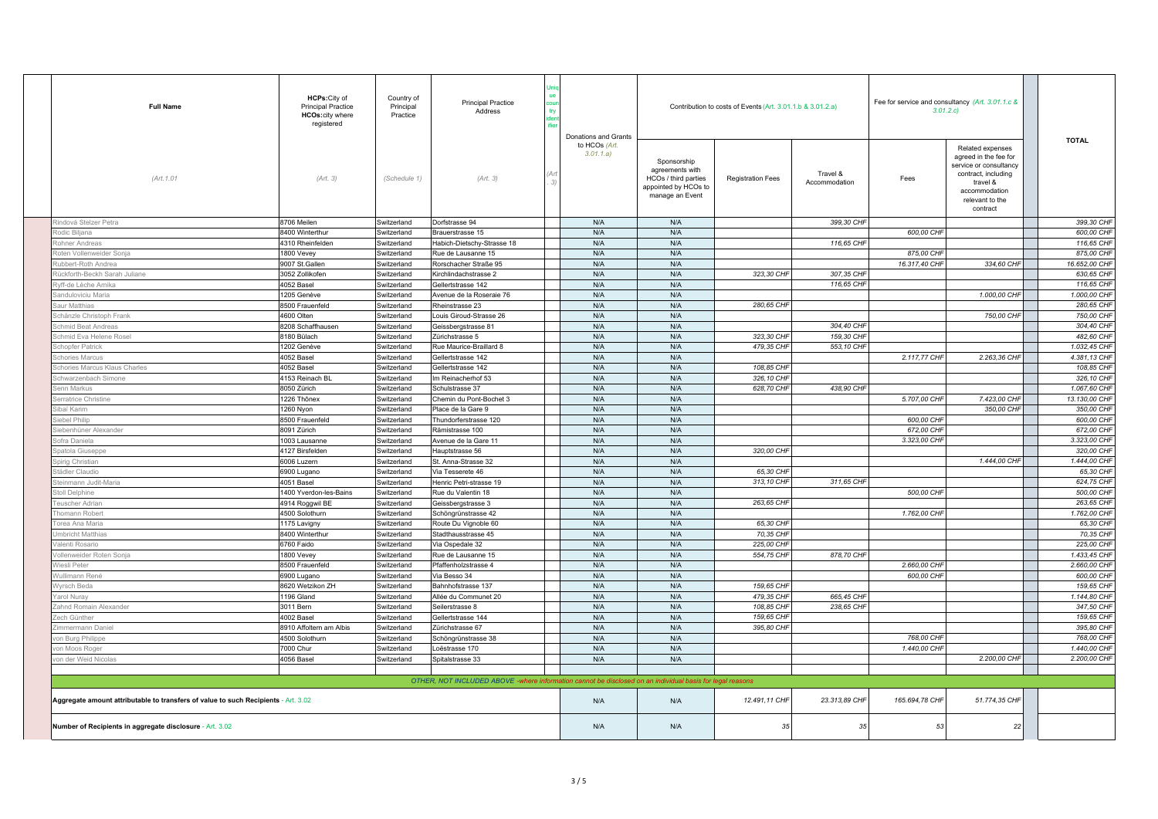| <b>Full Name</b>                                                                   | HCPs: City of<br>Country of<br><b>Principal Practice</b><br><b>Principal Practice</b><br>Principal<br>Address<br>HCOs:city where<br>Practice<br>registered |              |                                                                                                           |  |                                                    |                                                                                                   | Contribution to costs of Events (Art. 3.01.1.b & 3.01.2.a) | Fee for service and consultancy (Art. 3.01.1.c &<br>3.01.2.c |                |                                                                                                                                                        |  |               |
|------------------------------------------------------------------------------------|------------------------------------------------------------------------------------------------------------------------------------------------------------|--------------|-----------------------------------------------------------------------------------------------------------|--|----------------------------------------------------|---------------------------------------------------------------------------------------------------|------------------------------------------------------------|--------------------------------------------------------------|----------------|--------------------------------------------------------------------------------------------------------------------------------------------------------|--|---------------|
| (Art. 1.01                                                                         | (Art. 3)                                                                                                                                                   | (Schedule 1) | (Art. 3)                                                                                                  |  | Donations and Grants<br>to HCOs (Art.<br>3.01.1.a) | Sponsorship<br>agreements with<br>HCOs / third parties<br>appointed by HCOs to<br>manage an Event | <b>Registration Fees</b>                                   | Travel &<br>Accommodation                                    | Fees           | Related expenses<br>agreed in the fee for<br>service or consultancy<br>contract, including<br>travel &<br>accommodation<br>relevant to the<br>contract |  | <b>TOTAL</b>  |
| indová Stelzer Petra                                                               | 8706 Meilen                                                                                                                                                | Switzerland  | Dorfstrasse 94                                                                                            |  | N/A                                                | N/A                                                                                               |                                                            | 399,30 CHF                                                   |                |                                                                                                                                                        |  | 399,30 CHF    |
| odic Biljana                                                                       | 8400 Winterthur                                                                                                                                            | Switzerland  | Brauerstrasse 15                                                                                          |  | N/A                                                | N/A                                                                                               |                                                            |                                                              | 600.00 CHF     |                                                                                                                                                        |  | 600.00 CHF    |
| ohner Andreas                                                                      | 4310 Rheinfelden                                                                                                                                           | Switzerland  | Habich-Dietschy-Strasse 18                                                                                |  | N/A                                                | N/A                                                                                               |                                                            | 116,65 CHF                                                   |                |                                                                                                                                                        |  | 116,65 CHF    |
| oten Vollenweider Sonja                                                            | 1800 Vevey                                                                                                                                                 | Switzerland  | Rue de Lausanne 15                                                                                        |  | N/A                                                | N/A                                                                                               |                                                            |                                                              | 875.00 CHF     |                                                                                                                                                        |  | 875,00 CHF    |
| ubbert-Roth Andrea                                                                 | 9007 St.Gallen                                                                                                                                             | Switzerland  | Rorschacher Straße 95                                                                                     |  | N/A                                                | N/A                                                                                               |                                                            |                                                              | 16.317,40 CHF  | 334,60 CHF                                                                                                                                             |  | 16.652,00 CHF |
| ückforth-Beckh Sarah Juliane                                                       | 3052 Zollikofen                                                                                                                                            | Switzerland  | Kirchlindachstrasse 2                                                                                     |  | N/A                                                | N/A                                                                                               | 323,30 CHF                                                 | 307,35 CHF                                                   |                |                                                                                                                                                        |  | 630,65 CHF    |
| yff-de Lèche Arnika                                                                | 4052 Basel                                                                                                                                                 | Switzerland  | Gellertstrasse 142                                                                                        |  | N/A                                                | N/A                                                                                               |                                                            | 116,65 CHF                                                   |                |                                                                                                                                                        |  | 116,65 CHF    |
| anduloviciu Maria                                                                  | 1205 Genève                                                                                                                                                | Switzerland  | Avenue de la Roseraie 76                                                                                  |  | N/A                                                | N/A                                                                                               |                                                            |                                                              |                | 1.000,00 CHF                                                                                                                                           |  | 1.000,00 CHF  |
| aur Matthias                                                                       | 8500 Frauenfeld                                                                                                                                            | Switzerland  | Rheinstrasse 23                                                                                           |  | N/A                                                | N/A                                                                                               | 280,65 CHF                                                 |                                                              |                |                                                                                                                                                        |  | 280,65 CHF    |
| chänzle Christoph Frank                                                            | 4600 Olten                                                                                                                                                 | Switzerland  | ouis Giroud-Strasse 26                                                                                    |  | N/A                                                | N/A                                                                                               |                                                            |                                                              |                | 750,00 CHF                                                                                                                                             |  | 750,00 CHF    |
| hmid Beat Andreas                                                                  | 8208 Schaffhausen                                                                                                                                          | Switzerland  | Geissbergstrasse 81                                                                                       |  | N/A                                                | N/A                                                                                               |                                                            | 304,40 CHF                                                   |                |                                                                                                                                                        |  | 304,40 CHF    |
| chmid Eva Helene Rosel                                                             | 8180 Bülach                                                                                                                                                | Switzerland  | Zürichstrasse 5                                                                                           |  | N/A                                                | N/A                                                                                               | 323,30 CHI                                                 | 159,30 CHF                                                   |                |                                                                                                                                                        |  | 482,60 CHF    |
| chopfer Patrick                                                                    | 1202 Genève                                                                                                                                                | Switzerland  | Rue Maurice-Braillard 8                                                                                   |  | N/A                                                | N/A                                                                                               | 479,35 CHI                                                 | 553,10 CHF                                                   |                |                                                                                                                                                        |  | 1.032,45 CHF  |
| chories Marcus                                                                     | 4052 Basel                                                                                                                                                 | Switzerland  | Gellertstrasse 142                                                                                        |  | N/A                                                | N/A                                                                                               |                                                            |                                                              | 2.117,77 CHF   | 2.263,36 CHF                                                                                                                                           |  | 4.381,13 CHF  |
| chories Marcus Klaus Charles                                                       | 4052 Basel                                                                                                                                                 | Switzerland  | Gellertstrasse 142                                                                                        |  | N/A                                                | N/A                                                                                               | 108,85 CHF                                                 |                                                              |                |                                                                                                                                                        |  | 108,85 CHF    |
| chwarzenbach Simone                                                                | 4153 Reinach BL                                                                                                                                            | Switzerland  | m Reinacherhof 53                                                                                         |  | N/A                                                | N/A                                                                                               | 326,10 CHF                                                 |                                                              |                |                                                                                                                                                        |  | 326, 10 CHF   |
| enn Markus                                                                         | 8050 Zürich                                                                                                                                                | Switzerland  | Schulstrasse 37                                                                                           |  | N/A                                                | N/A                                                                                               | 628,70 CHF                                                 | 438,90 CHF                                                   |                |                                                                                                                                                        |  | 1.067.60 CHF  |
| erratrice Christine                                                                | 1226 Thônex                                                                                                                                                | Switzerland  | Chemin du Pont-Bochet 3                                                                                   |  | N/A                                                | N/A                                                                                               |                                                            |                                                              | 5.707,00 CHF   | 7.423,00 CHF                                                                                                                                           |  | 13.130,00 CHF |
| ihaï Karim                                                                         | 1260 Nyon                                                                                                                                                  | Switzerland  | Place de la Gare 9                                                                                        |  | N/A                                                | N/A                                                                                               |                                                            |                                                              |                | 350,00 CHF                                                                                                                                             |  | 350,00 CHF    |
| ebel Philip                                                                        | 8500 Frauenfeld                                                                                                                                            | Switzerland  | Thundorferstrasse 120                                                                                     |  | N/A                                                | N/A                                                                                               |                                                            |                                                              | 600,00 CHF     |                                                                                                                                                        |  | 600,00 CHF    |
| ebenhüner Alexande                                                                 | 8091 Zürich                                                                                                                                                | Switzerland  | Rämistrasse 100                                                                                           |  | N/A                                                | N/A                                                                                               |                                                            |                                                              | 672,00 CHI     |                                                                                                                                                        |  | 672,00 CHF    |
| ofra Daniela                                                                       | 1003 Lausanne                                                                                                                                              | Switzerland  | Venue de la Gare 11                                                                                       |  | N/A                                                | N/A                                                                                               |                                                            |                                                              | 3.323,00 CHF   |                                                                                                                                                        |  | 3.323,00 CHF  |
| patola Giuseppe                                                                    | 4127 Birsfelden                                                                                                                                            | Switzerland  | Hauptstrasse 56                                                                                           |  | N/A                                                | N/A                                                                                               | 320.00 CHF                                                 |                                                              |                |                                                                                                                                                        |  | 320.00 CHF    |
| pirig Christian                                                                    | 6006 Luzern                                                                                                                                                | Switzerland  | St. Anna-Strasse 32                                                                                       |  | N/A                                                | N/A                                                                                               |                                                            |                                                              |                | 1.444,00 CHF                                                                                                                                           |  | 1.444,00 CHF  |
| tädler Claudio                                                                     | 6900 Lugano                                                                                                                                                | Switzerland  | /ia Tesserete 46                                                                                          |  | N/A                                                | N/A                                                                                               | 65,30 CHF                                                  |                                                              |                |                                                                                                                                                        |  | 65,30 CHF     |
| einmann Judit-Maria                                                                | 4051 Basel                                                                                                                                                 | Switzerland  | Henric Petri-strasse 19                                                                                   |  | N/A                                                | N/A                                                                                               | 313,10 CHF                                                 | 311,65 CHF                                                   |                |                                                                                                                                                        |  | 624,75 CHF    |
| toll Delphine                                                                      | 1400 Yverdon-les-Bains                                                                                                                                     | Switzerland  | Rue du Valentin 18                                                                                        |  | N/A                                                | N/A                                                                                               |                                                            |                                                              | 500,00 CHF     |                                                                                                                                                        |  | 500,00 CHF    |
| euscher Adrian                                                                     | 4914 Roggwil BE                                                                                                                                            | Switzerland  | eissbergstrasse 3                                                                                         |  | N/A                                                | N/A                                                                                               | 263,65 CHF                                                 |                                                              |                |                                                                                                                                                        |  | 263,65 CHF    |
| homann Robert                                                                      | 4500 Solothurn                                                                                                                                             | Switzerland  | Schöngrünstrasse 42                                                                                       |  | N/A                                                | N/A                                                                                               |                                                            |                                                              | 1.762,00 CHF   |                                                                                                                                                        |  | 1.762.00 CHF  |
| Torea Ana Maria                                                                    | 1175 Lavigny                                                                                                                                               | Switzerland  | Route Du Vignoble 60                                                                                      |  | N/A                                                | N/A                                                                                               | 65,30 CHF                                                  |                                                              |                |                                                                                                                                                        |  | 65,30 CHF     |
| <b>Imbricht Matthias</b>                                                           | 8400 Winterthur                                                                                                                                            | Switzerland  | Stadthausstrasse 45                                                                                       |  | N/A                                                | N/A                                                                                               | 70,35 CHF                                                  |                                                              |                |                                                                                                                                                        |  | 70,35 CHF     |
| alenti Rosario                                                                     | 6760 Faido                                                                                                                                                 | Switzerland  | Via Ospedale 32                                                                                           |  | N/A                                                | N/A                                                                                               | 225.00 CHF                                                 |                                                              |                |                                                                                                                                                        |  | 225,00 CHF    |
| ollenweider Roten Sonja                                                            | 1800 Vevey                                                                                                                                                 | Switzerland  | Rue de Lausanne 15                                                                                        |  | N/A                                                | N/A                                                                                               | 554,75 CHI                                                 | 878,70 CHF                                                   |                |                                                                                                                                                        |  | 1.433,45 CHF  |
| Viesli Peter                                                                       | 8500 Frauenfeld                                                                                                                                            | Switzerland  | Pfaffenholzstrasse 4                                                                                      |  | N/A                                                | N/A                                                                                               |                                                            |                                                              | 2.660,00 CHF   |                                                                                                                                                        |  | 2.660,00 CHF  |
| Vullimann René                                                                     | 6900 Lugano                                                                                                                                                | Switzerland  | Via Besso 34                                                                                              |  | N/A                                                | N/A                                                                                               |                                                            |                                                              | 600,00 CHF     |                                                                                                                                                        |  | 600,00 CHF    |
| Vyrsch Beda                                                                        | 8620 Wetzikon ZH                                                                                                                                           | Switzerland  | Bahnhofstrasse 137                                                                                        |  | N/A                                                | N/A                                                                                               | 159,65 CHF                                                 |                                                              |                |                                                                                                                                                        |  | 159,65 CHF    |
| arol Nuray                                                                         | 1196 Gland                                                                                                                                                 | Switzerland  | Allée du Communet 20                                                                                      |  | N/A                                                | N/A                                                                                               | 479,35 CHI                                                 | 665,45 CHF                                                   |                |                                                                                                                                                        |  | 1.144,80 CHF  |
| ahnd Romain Alexander                                                              | 3011 Bern                                                                                                                                                  | Switzerland  | Seilerstrasse 8                                                                                           |  | N/A                                                | N/A                                                                                               | 108.85 CHF                                                 | 238,65 CHF                                                   |                |                                                                                                                                                        |  | 347,50 CHF    |
| ech Günther                                                                        | 4002 Basel                                                                                                                                                 | Switzerland  | Gellertstrasse 144                                                                                        |  | N/A                                                | N/A                                                                                               | 159,65 CHI                                                 |                                                              |                |                                                                                                                                                        |  | 159,65 CHF    |
| immermann Daniel                                                                   | 8910 Affoltern am Albis                                                                                                                                    | Switzerland  | ürichstrasse 67                                                                                           |  | N/A                                                | N/A                                                                                               | 395,80 CHF                                                 |                                                              |                |                                                                                                                                                        |  | 395,80 CHF    |
| on Burg Philippe                                                                   | 4500 Solothurn                                                                                                                                             | Switzerland  | Schöngrünstrasse 38                                                                                       |  | N/A                                                | N/A                                                                                               |                                                            |                                                              | 768,00 CHF     |                                                                                                                                                        |  | 768,00 CHF    |
| on Moos Roger                                                                      | 7000 Chur                                                                                                                                                  | Switzerland  | oëstrasse 170                                                                                             |  | N/A                                                | N/A                                                                                               |                                                            |                                                              | 1.440,00 CHF   |                                                                                                                                                        |  | 1.440,00 CHF  |
| on der Weid Nicolas                                                                | 4056 Basel                                                                                                                                                 | Switzerland  | Spitalstrasse 33                                                                                          |  | N/A                                                | N/A                                                                                               |                                                            |                                                              |                | 2.200,00 CHF                                                                                                                                           |  | 2.200,00 CHF  |
|                                                                                    |                                                                                                                                                            |              |                                                                                                           |  |                                                    |                                                                                                   |                                                            |                                                              |                |                                                                                                                                                        |  |               |
|                                                                                    |                                                                                                                                                            |              | OTHER, NOT INCLUDED ABOVE -where information cannot be disclosed on an individual basis for legal reasons |  |                                                    |                                                                                                   |                                                            |                                                              |                |                                                                                                                                                        |  |               |
| Aggregate amount attributable to transfers of value to such Recipients - Art. 3.02 |                                                                                                                                                            |              |                                                                                                           |  | N/A                                                | N/A                                                                                               | 12.491,11 CHF                                              | 23.313,89 CHF                                                | 165.694,78 CHF | 51.774,35 CHF                                                                                                                                          |  |               |
| Number of Recipients in aggregate disclosure - Art. 3.02                           |                                                                                                                                                            |              |                                                                                                           |  | N/A                                                | N/A                                                                                               | 35                                                         | 35                                                           | 53             | 22                                                                                                                                                     |  |               |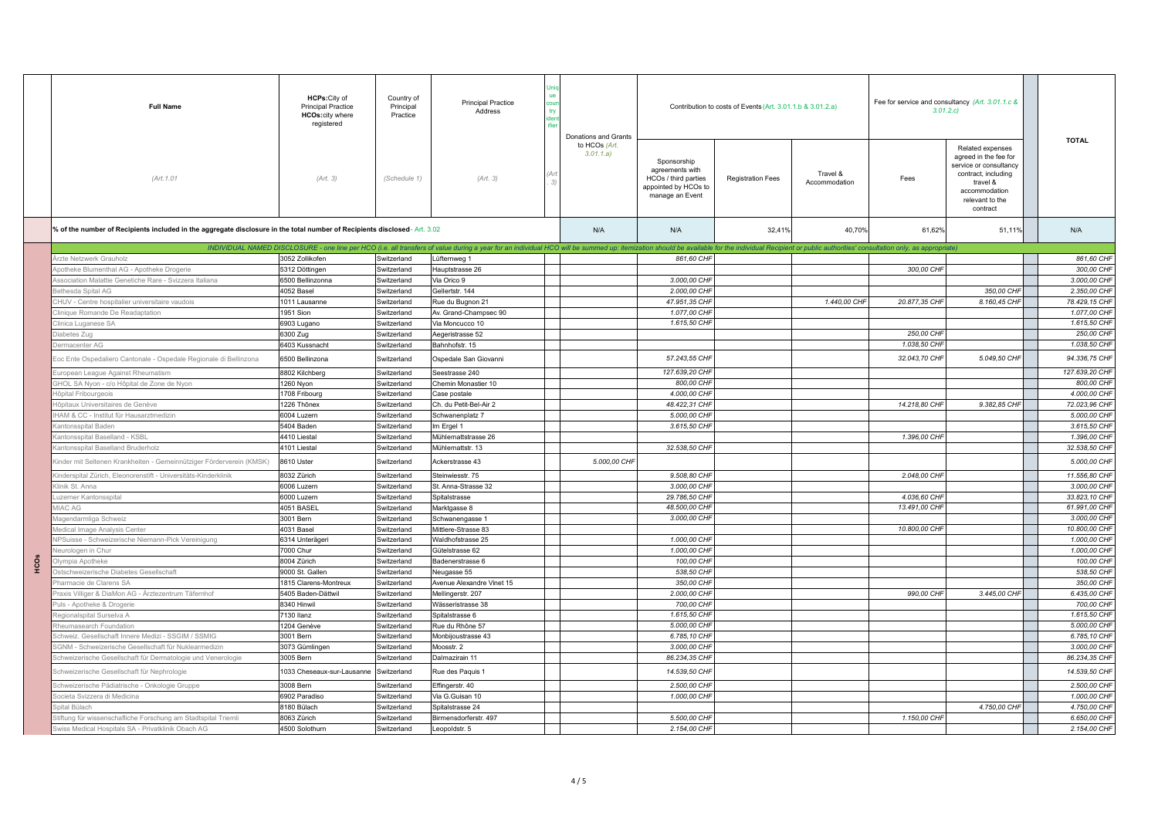|      | <b>Full Name</b>                                                                                                         | HCPs: City of<br><b>Principal Practice</b><br><b>HCOs:city where</b><br>registered | Country of<br>Principal<br>Practice | <b>Principal Practice</b><br>Address                                                                                                                                                                                           | Donations and Grants       |                                                                                                   | Contribution to costs of Events (Art. 3.01.1.b & 3.01.2.a) |                           | Fee for service and consultancy (Art. 3.01.1.c &<br>3.01.2.c |                                                                                                                                                        |  | <b>TOTAL</b>   |
|------|--------------------------------------------------------------------------------------------------------------------------|------------------------------------------------------------------------------------|-------------------------------------|--------------------------------------------------------------------------------------------------------------------------------------------------------------------------------------------------------------------------------|----------------------------|---------------------------------------------------------------------------------------------------|------------------------------------------------------------|---------------------------|--------------------------------------------------------------|--------------------------------------------------------------------------------------------------------------------------------------------------------|--|----------------|
|      | (Art. 1.01                                                                                                               | (Art. 3)                                                                           | (Schedule 1)                        | (Art. 3)                                                                                                                                                                                                                       | to HCOs (Art.<br>3.01.1.a) | Sponsorship<br>agreements with<br>HCOs / third parties<br>appointed by HCOs to<br>manage an Event | <b>Registration Fees</b>                                   | Travel &<br>Accommodation | Fees                                                         | Related expenses<br>agreed in the fee for<br>service or consultancy<br>contract, including<br>travel &<br>accommodation<br>relevant to the<br>contract |  |                |
|      | % of the number of Recipients included in the aggregate disclosure in the total number of Recipients disclosed-Art. 3.02 |                                                                                    |                                     |                                                                                                                                                                                                                                | N/A                        | N/A                                                                                               | 32.41%                                                     | 40.70%                    | 61.62%                                                       | 51.11%                                                                                                                                                 |  | N/A            |
|      |                                                                                                                          |                                                                                    |                                     | INDIVIDUAL NAMED DISCLOSURE - one line per HCO (i.e. all transfers of value during a year for an individual HCO will be summed up: itemization should be available for the individual Recipient or public authorities' consult |                            |                                                                                                   |                                                            |                           |                                                              |                                                                                                                                                        |  |                |
|      | rzte Netzwerk Grauholz                                                                                                   | 3052 Zollikofen                                                                    | Switzerland                         | Lüfternweg 1                                                                                                                                                                                                                   |                            | 861,60 CHF                                                                                        |                                                            |                           |                                                              |                                                                                                                                                        |  | 861.60 CHF     |
|      | potheke Blumenthal AG - Apotheke Drogerie                                                                                | 5312 Döttingen                                                                     | Switzerland                         | Hauptstrasse 26                                                                                                                                                                                                                |                            |                                                                                                   |                                                            |                           | 300,00 CHF                                                   |                                                                                                                                                        |  | 300,00 CHF     |
|      | ssociation Malattie Genetiche Rare - Svizzera Italiana                                                                   | 6500 Bellinzonna                                                                   | Switzerland                         | Via Orico 9                                                                                                                                                                                                                    |                            | 3.000,00 CHF                                                                                      |                                                            |                           |                                                              |                                                                                                                                                        |  | 3.000,00 CHF   |
|      | ethesda Spital AG                                                                                                        | 4052 Basel                                                                         | Switzerland                         | Gellertstr. 144                                                                                                                                                                                                                |                            | 2.000,00 CHF                                                                                      |                                                            |                           |                                                              | 350,00 CHF                                                                                                                                             |  | 2.350,00 CHF   |
|      | HUV - Centre hospitalier universitaire vaudois                                                                           | 1011 Lausanne                                                                      | Switzerland                         | Rue du Bugnon 21                                                                                                                                                                                                               |                            | 47.951,35 CHF                                                                                     |                                                            | 1.440.00 CHF              | 20.877,35 CHF                                                | 8.160.45 CHF                                                                                                                                           |  | 78.429,15 CHF  |
|      | inique Romande De Readaptation                                                                                           | 951 Sion                                                                           | Switzerland                         | W. Grand-Champsec 90                                                                                                                                                                                                           |                            | 1.077,00 CHF                                                                                      |                                                            |                           |                                                              |                                                                                                                                                        |  | 1.077,00 CHF   |
|      | linica Luganese SA                                                                                                       | 6903 Lugano                                                                        | Switzerland                         | /ia Moncucco 10                                                                                                                                                                                                                |                            | 1.615,50 CHF                                                                                      |                                                            |                           |                                                              |                                                                                                                                                        |  | 1.615,50 CHF   |
|      | abetes Zug                                                                                                               | 300 Zug                                                                            | Switzerland                         | Aegeristrasse 52                                                                                                                                                                                                               |                            |                                                                                                   |                                                            |                           | 250,00 CHF                                                   |                                                                                                                                                        |  | 250,00 CHF     |
|      | rmacenter AG                                                                                                             | 6403 Kussnacht                                                                     | Switzerland                         | Bahnhofstr. 15                                                                                                                                                                                                                 |                            |                                                                                                   |                                                            |                           | 1.038,50 CHF                                                 |                                                                                                                                                        |  | 1.038,50 CHF   |
|      | Eoc Ente Ospedaliero Cantonale - Ospedale Regionale di Bellinzona                                                        | 6500 Bellinzona                                                                    | Switzerland                         | Ospedale San Giovanni                                                                                                                                                                                                          |                            | 57.243,55 CHF                                                                                     |                                                            |                           | 32.043,70 CHF                                                | 5.049.50 CHF                                                                                                                                           |  | 94.336.75 CHF  |
|      | uropean League Against Rheumatism                                                                                        | 8802 Kilchberg                                                                     | Switzerland                         | Seestrasse 240                                                                                                                                                                                                                 |                            | 127.639,20 CHF                                                                                    |                                                            |                           |                                                              |                                                                                                                                                        |  | 127.639,20 CHF |
|      | HOL SA Nyon - c/o Hôpital de Zone de Nyon                                                                                | 260 Nyon                                                                           | Switzerland                         | Chemin Monastier 10                                                                                                                                                                                                            |                            | 800.00 CHF                                                                                        |                                                            |                           |                                                              |                                                                                                                                                        |  | 800.00 CHF     |
|      | ôpital Fribourgeois                                                                                                      | 1708 Fribourg                                                                      | Switzerland                         | Case postale                                                                                                                                                                                                                   |                            | 4.000,00 CHF                                                                                      |                                                            |                           |                                                              |                                                                                                                                                        |  | 4.000,00 CHF   |
|      | ôpitaux Universitaires de Genève                                                                                         | 226 Thônex                                                                         | Switzerland                         | Ch. du Petit-Bel-Air 2                                                                                                                                                                                                         |                            | 48.422,31 CHF                                                                                     |                                                            |                           | 14.218,80 CHF                                                | 9.382,85 CHF                                                                                                                                           |  | 72.023,96 CHF  |
|      | IAM & CC - Institut für Hausarztmedizin                                                                                  | 6004 Luzern                                                                        | Switzerland                         | Schwanenplatz 7                                                                                                                                                                                                                |                            | 5.000,00 CHF                                                                                      |                                                            |                           |                                                              |                                                                                                                                                        |  | 5.000,00 CHF   |
|      | antonsspital Baden                                                                                                       | 5404 Baden                                                                         | Switzerland                         | Im Ergel 1                                                                                                                                                                                                                     |                            | 3.615,50 CHF                                                                                      |                                                            |                           |                                                              |                                                                                                                                                        |  | 3.615,50 CHF   |
|      |                                                                                                                          |                                                                                    |                                     |                                                                                                                                                                                                                                |                            |                                                                                                   |                                                            |                           |                                                              |                                                                                                                                                        |  | 1.396.00 CHF   |
|      | antonsspital Baselland - KSBL                                                                                            | 4410 Liestal                                                                       | Switzerland                         | Mühlemattstrasse 26                                                                                                                                                                                                            |                            | 32.538.50 CHF                                                                                     |                                                            |                           | 1.396,00 CHF                                                 |                                                                                                                                                        |  | 32.538.50 CHF  |
|      | antonsspital Baselland Bruderholz                                                                                        | 4101 Liesta                                                                        | Switzerland                         | Mühlemattstr. 13                                                                                                                                                                                                               |                            |                                                                                                   |                                                            |                           |                                                              |                                                                                                                                                        |  |                |
|      | inder mit Seltenen Krankheiten - Gemeinnütziger Förderverein (KMSK)                                                      | 8610 Uster                                                                         | Switzerland                         | Ackerstrasse 43                                                                                                                                                                                                                | 5.000,00 CHF               |                                                                                                   |                                                            |                           |                                                              |                                                                                                                                                        |  | 5.000,00 CHF   |
|      | inderspital Zürich, Eleonorenstift - Universitäts-Kinderklinik                                                           | 8032 Zürich                                                                        | Switzerland                         | Steinwiesstr. 75                                                                                                                                                                                                               |                            | 9.508,80 CHF                                                                                      |                                                            |                           | 2.048,00 CHF                                                 |                                                                                                                                                        |  | 11.556,80 CHF  |
|      | linik St. Anna                                                                                                           | 6006 Luzern                                                                        | Switzerland                         | St. Anna-Strasse 32                                                                                                                                                                                                            |                            | 3.000,00 CHF                                                                                      |                                                            |                           |                                                              |                                                                                                                                                        |  | 3.000,00 CHF   |
|      | <b>Izerner Kantonsspital</b>                                                                                             | 6000 Luzern                                                                        | Switzerland                         | Spitalstrasse                                                                                                                                                                                                                  |                            | 29.786,50 CHF                                                                                     |                                                            |                           | 4.036,60 CHF                                                 |                                                                                                                                                        |  | 33.823,10 CHF  |
|      | <b>IAC AG</b>                                                                                                            | 4051 BASEL                                                                         | Switzerland                         | Marktgasse 8                                                                                                                                                                                                                   |                            | 48,500.00 CHF                                                                                     |                                                            |                           | 13,491,00 CHF                                                |                                                                                                                                                        |  | 61.991.00 CHF  |
|      | lagendarmliga Schweiz                                                                                                    | 3001 Bern                                                                          | Switzerland                         | Schwanengasse 1                                                                                                                                                                                                                |                            | 3.000,00 CHF                                                                                      |                                                            |                           |                                                              |                                                                                                                                                        |  | 3.000,00 CHF   |
|      | edical Image Analysis Center                                                                                             | 4031 Basel                                                                         | Switzerland                         | Aittlere-Strasse 83                                                                                                                                                                                                            |                            |                                                                                                   |                                                            |                           | 10.800,00 CHF                                                |                                                                                                                                                        |  | 10,800,00 CHF  |
|      | Suisse - Schweizerische Niemann-Pick Vereinigung                                                                         | 6314 Unterägeri                                                                    | Switzerland                         | Waldhofstrasse 25                                                                                                                                                                                                              |                            | 1.000,00 CHF                                                                                      |                                                            |                           |                                                              |                                                                                                                                                        |  | 1.000,00 CHF   |
|      | urologen in Chur                                                                                                         | 7000 Chur                                                                          | Switzerland                         | Gütelstrasse 62                                                                                                                                                                                                                |                            | 1.000,00 CHF                                                                                      |                                                            |                           |                                                              |                                                                                                                                                        |  | 1.000,00 CHF   |
| HCOS | mpia Apotheke                                                                                                            | 8004 Zürich                                                                        | Switzerland                         | Badenerstrasse 6                                                                                                                                                                                                               |                            | 100,00 CHF                                                                                        |                                                            |                           |                                                              |                                                                                                                                                        |  | 100,00 CHF     |
|      | stschweizerische Diabetes Gesellschaft                                                                                   | 9000 St. Gallen                                                                    | Switzerland                         | <b>Neugasse 55</b>                                                                                                                                                                                                             |                            | 538.50 CHF                                                                                        |                                                            |                           |                                                              |                                                                                                                                                        |  | 538,50 CHF     |
|      | armacie de Clarens SA                                                                                                    | 1815 Clarens-Montreux                                                              | Switzerland                         | Venue Alexandre Vinet 15                                                                                                                                                                                                       |                            | 350,00 CHF                                                                                        |                                                            |                           |                                                              |                                                                                                                                                        |  | 350,00 CHF     |
|      | raxis Villiger & DiaMon AG - Ärztezentrum Täfernhof                                                                      | 5405 Baden-Dättwil                                                                 | Switzerland                         | Mellingerstr, 207                                                                                                                                                                                                              |                            | 2.000,00 CHF                                                                                      |                                                            |                           | 990,00 CHF                                                   | 3.445,00 CHF                                                                                                                                           |  | 6.435,00 CHF   |
|      | uls - Apotheke & Drogerie                                                                                                | 3340 Hinwil                                                                        | Switzerland                         | Vässeristrasse 38                                                                                                                                                                                                              |                            | 700,00 CHF                                                                                        |                                                            |                           |                                                              |                                                                                                                                                        |  | 700,00 CHF     |
|      | tegionalspital Surselva A                                                                                                | 7130 Ilanz                                                                         | Switzerland                         | Spitalstrasse 6                                                                                                                                                                                                                |                            | 1.615,50 CHF                                                                                      |                                                            |                           |                                                              |                                                                                                                                                        |  | 1.615,50 CHF   |
|      | theumasearch Foundation                                                                                                  | 1204 Genève                                                                        | Switzerland                         | Rue du Rhône 57                                                                                                                                                                                                                |                            | 5.000,00 CHF                                                                                      |                                                            |                           |                                                              |                                                                                                                                                        |  | 5.000,00 CHF   |
|      | chweiz. Gesellschaft Innere Medizi - SSGIM / SSMIG                                                                       | 3001 Bern                                                                          | Switzerland                         | Monbijoustrasse 43                                                                                                                                                                                                             |                            | 6.785,10 CHF                                                                                      |                                                            |                           |                                                              |                                                                                                                                                        |  | 6.785,10 CHF   |
|      | GNM - Schweizerische Gesellschaft für Nuklearmedizin                                                                     | 3073 Gümlingen                                                                     | Switzerland                         | Moosstr. 2                                                                                                                                                                                                                     |                            | 3.000,00 CHF                                                                                      |                                                            |                           |                                                              |                                                                                                                                                        |  | 3.000,00 CHF   |
|      | chweizerische Gesellschaft für Dermatologie und Venerologie                                                              | 3005 Bern                                                                          | Switzerland                         | Jalmazirain 11                                                                                                                                                                                                                 |                            | 86.234,35 CHF                                                                                     |                                                            |                           |                                                              |                                                                                                                                                        |  | 86.234,35 CHF  |
|      | Schweizerische Gesellschaft für Nephrologie                                                                              | 033 Cheseaux-sur-Lausanne                                                          | Switzerland                         | Rue des Paquis 1                                                                                                                                                                                                               |                            | 14.539,50 CHF                                                                                     |                                                            |                           |                                                              |                                                                                                                                                        |  | 14.539,50 CHF  |
|      | chweizerische Pädiatrische - Onkologie Gruppe                                                                            | 3008 Bern                                                                          | Switzerland                         |                                                                                                                                                                                                                                |                            | 2.500,00 CHF                                                                                      |                                                            |                           |                                                              |                                                                                                                                                        |  | 2.500,00 CHF   |
|      | ocieta Svizzera di Medicina                                                                                              | 6902 Paradiso                                                                      | Switzerland                         | Effingerstr. 40<br>/ia G.Guisan 10                                                                                                                                                                                             |                            | 1.000,00 CHF                                                                                      |                                                            |                           |                                                              |                                                                                                                                                        |  | 1.000,00 CHF   |
|      |                                                                                                                          |                                                                                    |                                     |                                                                                                                                                                                                                                |                            |                                                                                                   |                                                            |                           |                                                              |                                                                                                                                                        |  |                |
|      | ital Bülach                                                                                                              | 3180 Bülach                                                                        | Switzerland                         | Spitalstrasse 24                                                                                                                                                                                                               |                            |                                                                                                   |                                                            |                           |                                                              | 4.750,00 CHF                                                                                                                                           |  | 4.750,00 CHF   |
|      | iftung für wissenschafliche Forschung am Stadtspital Triemli                                                             | 8063 Zürich                                                                        | Switzerland                         | Birmensdorferstr, 497                                                                                                                                                                                                          |                            | 5,500,00 CHF                                                                                      |                                                            |                           | 1.150.00 CHF                                                 |                                                                                                                                                        |  | 6.650.00 CHF   |
|      | viss Medical Hospitals SA - Privatklinik Obach AG                                                                        | 4500 Solothurn                                                                     | Switzerland                         | Leopoldstr. 5                                                                                                                                                                                                                  |                            | 2.154,00 CHF                                                                                      |                                                            |                           |                                                              |                                                                                                                                                        |  | 2.154,00 CHF   |